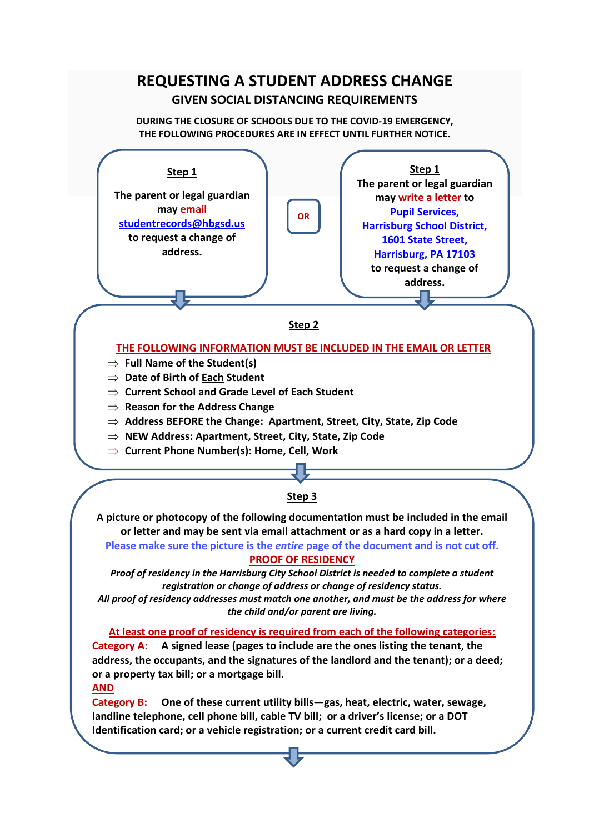# **REQUESTING A STUDENT ADDRESS CHANGE GIVEN SOCIAL DISTANCING REQUIREMENTS**

**DURING THE CLOSURE OF SCHOOLS DUE TO THE COVID-19 EMERGENCY, THE FOLLOWING PROCEDURES ARE IN EFFECT UNTIL FURTHER NOTICE.**